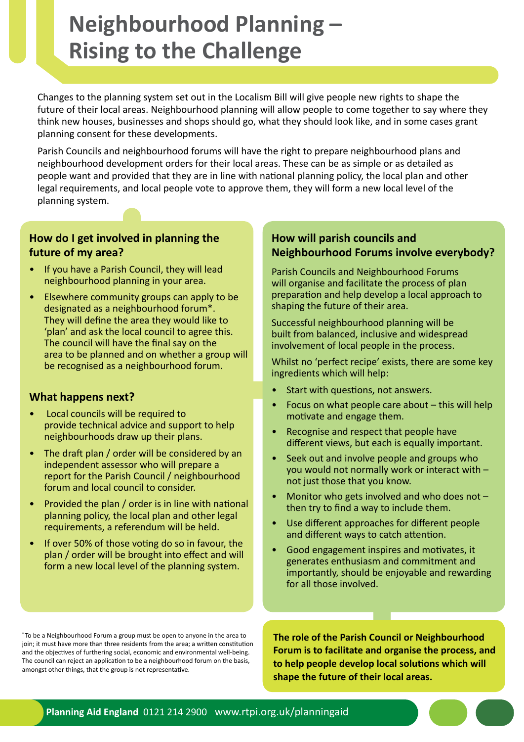# **Neighbourhood Planning – Rising to the Challenge**

Changes to the planning system set out in the Localism Bill will give people new rights to shape the future of their local areas. Neighbourhood planning will allow people to come together to say where they think new houses, businesses and shops should go, what they should look like, and in some cases grant planning consent for these developments.

Parish Councils and neighbourhood forums will have the right to prepare neighbourhood plans and neighbourhood development orders for their local areas. These can be as simple or as detailed as people want and provided that they are in line with national planning policy, the local plan and other legal requirements, and local people vote to approve them, they will form a new local level of the planning system.

### **How do I get involved in planning the future of my area?**

- If you have a Parish Council, they will lead neighbourhood planning in your area.
- Elsewhere community groups can apply to be designated as a neighbourhood forum\*. They will define the area they would like to 'plan' and ask the local council to agree this. The council will have the final say on the area to be planned and on whether a group will be recognised as a neighbourhood forum.

### **What happens next?**

- Local councils will be required to provide technical advice and support to help neighbourhoods draw up their plans.
- The draft plan / order will be considered by an independent assessor who will prepare a report for the Parish Council / neighbourhood forum and local council to consider.
- Provided the plan / order is in line with national planning policy, the local plan and other legal requirements, a referendum will be held.
- If over 50% of those voting do so in favour, the plan / order will be brought into effect and will form a new local level of the planning system.

## **How will parish councils and Neighbourhood Forums involve everybody?**

Parish Councils and Neighbourhood Forums will organise and facilitate the process of plan preparation and help develop a local approach to shaping the future of their area.

Successful neighbourhood planning will be built from balanced, inclusive and widespread involvement of local people in the process.

Whilst no 'perfect recipe' exists, there are some key ingredients which will help:

- Start with questions, not answers.
- Focus on what people care about this will help motivate and engage them.
- Recognise and respect that people have different views, but each is equally important.
- Seek out and involve people and groups who you would not normally work or interact with – not just those that you know.
- Monitor who gets involved and who does not  $$ then try to find a way to include them.
- Use different approaches for different people and different ways to catch attention.
- Good engagement inspires and motivates, it generates enthusiasm and commitment and importantly, should be enjoyable and rewarding for all those involved.

\* To be a Neighbourhood Forum a group must be open to anyone in the area to join; it must have more than three residents from the area; a written constitution and the objectives of furthering social, economic and environmental well-being. The council can reject an application to be a neighbourhood forum on the basis, amongst other things, that the group is not representative.

**The role of the Parish Council or Neighbourhood Forum is to facilitate and organise the process, and to help people develop local solutions which will shape the future of their local areas.**